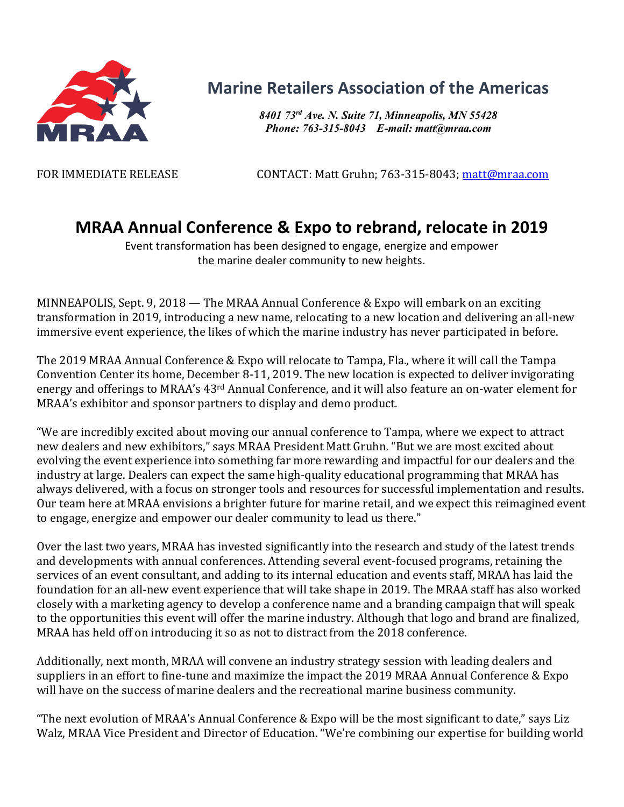

## **Marine Retailers Association of the Americas**

*8401 73rd Ave. N. Suite 71, Minneapolis, MN 55428 Phone: 763-315-8043 E-mail: matt@mraa.com*

FOR IMMEDIATE RELEASE CONTACT: Matt Gruhn; 763-315-8043; matt@mraa.com

## **MRAA Annual Conference & Expo to rebrand, relocate in 2019**

Event transformation has been designed to engage, energize and empower the marine dealer community to new heights.

MINNEAPOLIS, Sept. 9, 2018 — The MRAA Annual Conference & Expo will embark on an exciting transformation in 2019, introducing a new name, relocating to a new location and delivering an all-new immersive event experience, the likes of which the marine industry has never participated in before.

The 2019 MRAA Annual Conference & Expo will relocate to Tampa, Fla., where it will call the Tampa Convention Center its home, December 8-11, 2019. The new location is expected to deliver invigorating energy and offerings to MRAA's 43<sup>rd</sup> Annual Conference, and it will also feature an on-water element for MRAA's exhibitor and sponsor partners to display and demo product.

"We are incredibly excited about moving our annual conference to Tampa, where we expect to attract new dealers and new exhibitors," says MRAA President Matt Gruhn. "But we are most excited about evolving the event experience into something far more rewarding and impactful for our dealers and the industry at large. Dealers can expect the same high-quality educational programming that MRAA has always delivered, with a focus on stronger tools and resources for successful implementation and results. Our team here at MRAA envisions a brighter future for marine retail, and we expect this reimagined event to engage, energize and empower our dealer community to lead us there."

Over the last two years, MRAA has invested significantly into the research and study of the latest trends and developments with annual conferences. Attending several event-focused programs, retaining the services of an event consultant, and adding to its internal education and events staff, MRAA has laid the foundation for an all-new event experience that will take shape in 2019. The MRAA staff has also worked closely with a marketing agency to develop a conference name and a branding campaign that will speak to the opportunities this event will offer the marine industry. Although that logo and brand are finalized, MRAA has held off on introducing it so as not to distract from the  $2018$  conference.

Additionally, next month, MRAA will convene an industry strategy session with leading dealers and suppliers in an effort to fine-tune and maximize the impact the 2019 MRAA Annual Conference & Expo will have on the success of marine dealers and the recreational marine business community.

"The next evolution of MRAA's Annual Conference & Expo will be the most significant to date," says Liz Walz, MRAA Vice President and Director of Education. "We're combining our expertise for building world